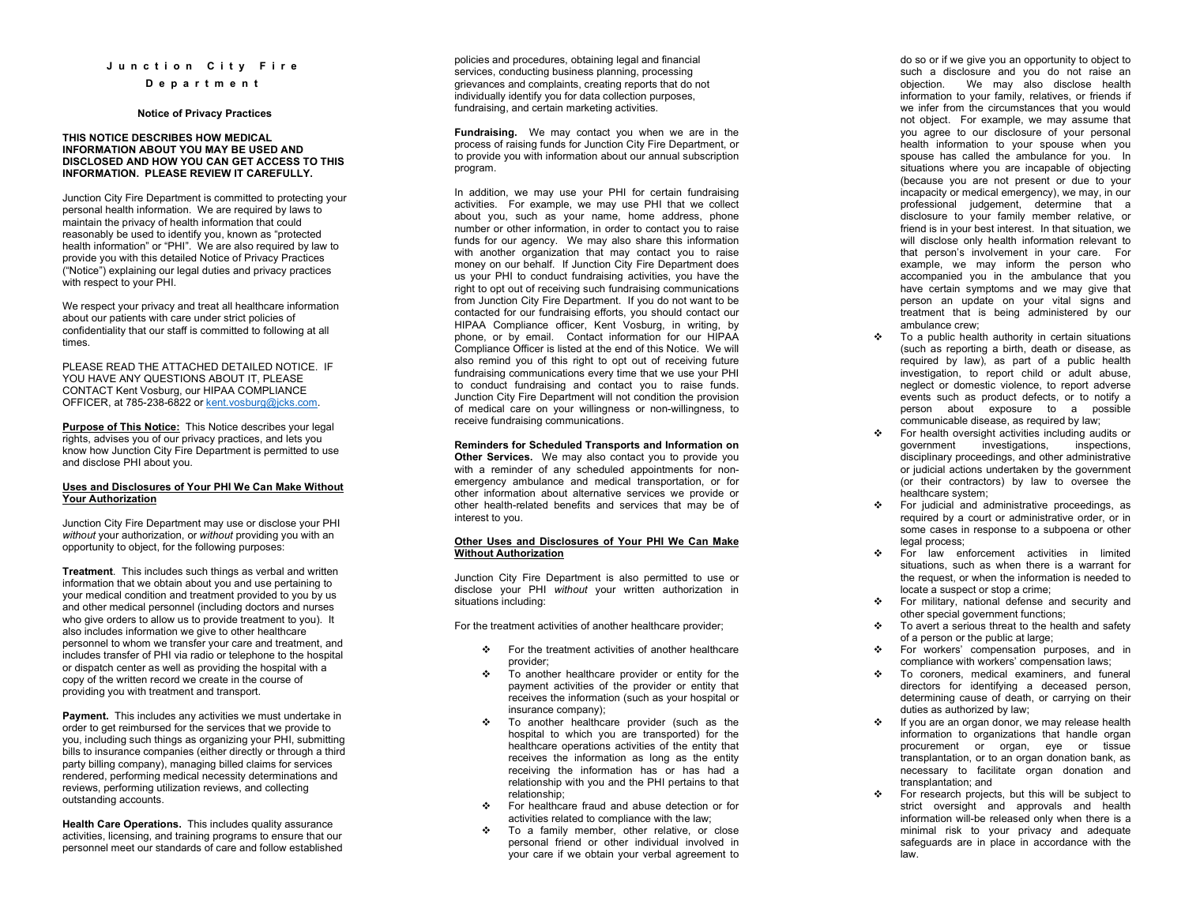# Junction City Fire

## D e p a r t m e n t

#### Notice of Privacy Practices

#### THIS NOTICE DESCRIBES HOW MEDICAL INFORMATION ABOUT YOU MAY BE USED AND DISCLOSED AND HOW YOU CAN GET ACCESS TO THIS INFORMATION. PLEASE REVIEW IT CAREFULLY.

Junction City Fire Department is committed to protecting your personal health information. We are required by laws to maintain the privacy of health information that could reasonably be used to identify you, known as "protected health information" or "PHI". We are also required by law to provide you with this detailed Notice of Privacy Practices ("Notice") explaining our legal duties and privacy practices with respect to your PHI.

We respect your privacy and treat all healthcare information about our patients with care under strict policies of confidentiality that our staff is committed to following at all times.

PLEASE READ THE ATTACHED DETAILED NOTICE. IF YOU HAVE ANY QUESTIONS ABOUT IT, PLEASE CONTACT Kent Vosburg, our HIPAA COMPLIANCE OFFICER, at 785-238-6822 or kent.vosburg@jcks.com.

Purpose of This Notice: This Notice describes your legal rights, advises you of our privacy practices, and lets you know how Junction City Fire Department is permitted to use and disclose PHI about you.

#### Uses and Disclosures of Your PHI We Can Make Without Your Authorization

Junction City Fire Department may use or disclose your PHI without your authorization, or without providing you with an opportunity to object, for the following purposes:

Treatment. This includes such things as verbal and written information that we obtain about you and use pertaining to your medical condition and treatment provided to you by us and other medical personnel (including doctors and nurses who give orders to allow us to provide treatment to you). It also includes information we give to other healthcare personnel to whom we transfer your care and treatment, and includes transfer of PHI via radio or telephone to the hospital or dispatch center as well as providing the hospital with a copy of the written record we create in the course of providing you with treatment and transport.

Payment. This includes any activities we must undertake in order to get reimbursed for the services that we provide to you, including such things as organizing your PHI, submitting bills to insurance companies (either directly or through a third party billing company), managing billed claims for services rendered, performing medical necessity determinations and reviews, performing utilization reviews, and collecting outstanding accounts.

Health Care Operations. This includes quality assurance activities, licensing, and training programs to ensure that our personnel meet our standards of care and follow established policies and procedures, obtaining legal and financial services, conducting business planning, processing grievances and complaints, creating reports that do not individually identify you for data collection purposes, fundraising, and certain marketing activities.

Fundraising. We may contact you when we are in the process of raising funds for Junction City Fire Department, or to provide you with information about our annual subscription program.

In addition, we may use your PHI for certain fundraising activities. For example, we may use PHI that we collect about you, such as your name, home address, phone number or other information, in order to contact you to raise funds for our agency. We may also share this information with another organization that may contact you to raise money on our behalf. If Junction City Fire Department does us your PHI to conduct fundraising activities, you have the right to opt out of receiving such fundraising communications from Junction City Fire Department. If you do not want to be contacted for our fundraising efforts, you should contact our HIPAA Compliance officer, Kent Vosburg, in writing, by phone, or by email. Contact information for our HIPAA Compliance Officer is listed at the end of this Notice. We will also remind you of this right to opt out of receiving future fundraising communications every time that we use your PHI to conduct fundraising and contact you to raise funds. Junction City Fire Department will not condition the provision of medical care on your willingness or non-willingness, to receive fundraising communications.

# Reminders for Scheduled Transports and Information on

Other Services. We may also contact you to provide you with a reminder of any scheduled appointments for nonemergency ambulance and medical transportation, or for other information about alternative services we provide or other health-related benefits and services that may be of interest to you.

#### Other Uses and Disclosures of Your PHI We Can Make Without Authorization

Junction City Fire Department is also permitted to use or disclose your PHI without your written authorization in situations including:

For the treatment activities of another healthcare provider;

- $\div$  For the treatment activities of another healthcare provider;
- \* To another healthcare provider or entity for the payment activities of the provider or entity that receives the information (such as your hospital or insurance company);
- \* To another healthcare provider (such as the hospital to which you are transported) for the healthcare operations activities of the entity that receives the information as long as the entity receiving the information has or has had a relationship with you and the PHI pertains to that relationship;
- For healthcare fraud and abuse detection or for activities related to compliance with the law;
- To a family member, other relative, or close personal friend or other individual involved in your care if we obtain your verbal agreement to

do so or if we give you an opportunity to object to such a disclosure and you do not raise an objection. We may also disclose health information to your family, relatives, or friends if we infer from the circumstances that you would not object. For example, we may assume that you agree to our disclosure of your personal health information to your spouse when you spouse has called the ambulance for you. In situations where you are incapable of objecting (because you are not present or due to your incapacity or medical emergency), we may, in our professional judgement, determine that a disclosure to your family member relative, or friend is in your best interest. In that situation, we will disclose only health information relevant to that person's involvement in your care. For example, we may inform the person who accompanied you in the ambulance that you have certain symptoms and we may give that person an update on your vital signs and treatment that is being administered by our ambulance crew;

- $\div$  To a public health authority in certain situations (such as reporting a birth, death or disease, as required by law), as part of a public health investigation, to report child or adult abuse, neglect or domestic violence, to report adverse events such as product defects, or to notify a person about exposure to a possible communicable disease, as required by law;
- For health oversight activities including audits or government investigations, inspections, disciplinary proceedings, and other administrative or judicial actions undertaken by the government (or their contractors) by law to oversee the healthcare system;
- $\div$  For judicial and administrative proceedings, as required by a court or administrative order, or in some cases in response to a subpoena or other legal process;
- $\div$  For law enforcement activities in limited situations, such as when there is a warrant for the request, or when the information is needed to locate a suspect or stop a crime;
- For military, national defense and security and other special government functions;
- To avert a serious threat to the health and safety of a person or the public at large;
- For workers' compensation purposes, and in compliance with workers' compensation laws;
- To coroners, medical examiners, and funeral directors for identifying a deceased person, determining cause of death, or carrying on their duties as authorized by law;
- $\div$  If you are an organ donor, we may release health information to organizations that handle organ procurement or organ, eye or tissue transplantation, or to an organ donation bank, as necessary to facilitate organ donation and transplantation; and
- For research projects, but this will be subject to strict oversight and approvals and health information will-be released only when there is a minimal risk to your privacy and adequate safeguards are in place in accordance with the law.